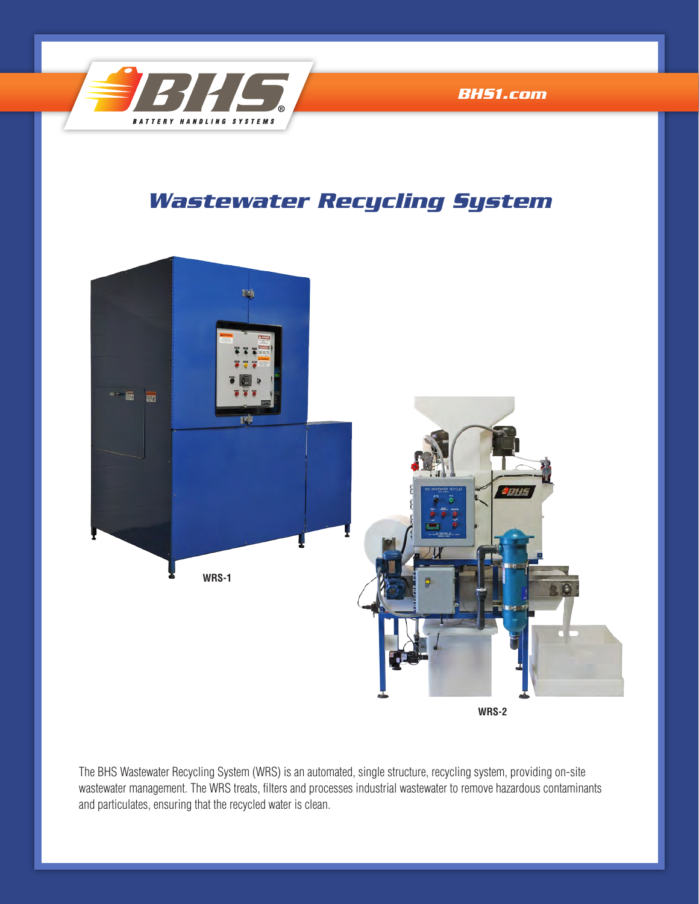

*[BHS1.com](http://www.bhs1.com)*

# *Wastewater Recycling System*



The BHS Wastewater Recycling System (WRS) is an automated, single structure, recycling system, providing on-site wastewater management. The WRS treats, filters and processes industrial wastewater to remove hazardous contaminants and particulates, ensuring that the recycled water is clean.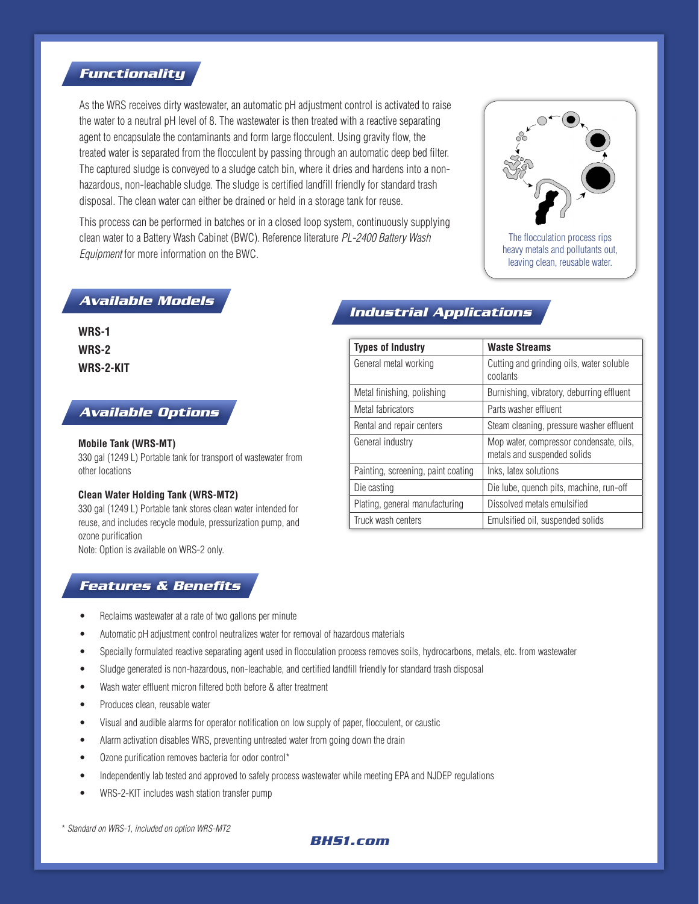### *Functionality*

As the WRS receives dirty wastewater, an automatic pH adjustment control is activated to raise the water to a neutral pH level of 8. The wastewater is then treated with a reactive separating agent to encapsulate the contaminants and form large flocculent. Using gravity flow, the treated water is separated from the flocculent by passing through an automatic deep bed filter. The captured sludge is conveyed to a sludge catch bin, where it dries and hardens into a nonhazardous, non-leachable sludge. The sludge is certified landfill friendly for standard trash disposal. The clean water can either be drained or held in a storage tank for reuse.

This process can be performed in batches or in a closed loop system, continuously supplying clean water to a Battery Wash Cabinet (BWC). Reference literature *PL-2400 Battery Wash Equipment* for more information on the BWC.



heavy metals and pollutants out, leaving clean, reusable water.

## *Available Models*

**WRS-1 WRS-2 WRS-2-KIT**

#### *Available Options*

#### **Mobile Tank (WRS-MT)**

330 gal (1249 L) Portable tank for transport of wastewater from other locations

#### **Clean Water Holding Tank (WRS-MT2)**

330 gal (1249 L) Portable tank stores clean water intended for reuse, and includes recycle module, pressurization pump, and ozone purification

Note: Option is available on WRS-2 only.

# *Industrial Applications*

| <b>Types of Industry</b>           | <b>Waste Streams</b>                                                   |  |
|------------------------------------|------------------------------------------------------------------------|--|
| General metal working              | Cutting and grinding oils, water soluble<br>coolants                   |  |
| Metal finishing, polishing         | Burnishing, vibratory, deburring effluent                              |  |
| Metal fabricators                  | Parts washer effluent                                                  |  |
| Rental and repair centers          | Steam cleaning, pressure washer effluent                               |  |
| General industry                   | Mop water, compressor condensate, oils,<br>metals and suspended solids |  |
| Painting, screening, paint coating | Inks, latex solutions                                                  |  |
| Die casting                        | Die lube, quench pits, machine, run-off                                |  |
| Plating, general manufacturing     | Dissolved metals emulsified                                            |  |
| Truck wash centers                 | Emulsified oil, suspended solids                                       |  |

## *Features & Benefits*

- Reclaims wastewater at a rate of two gallons per minute
- Automatic pH adjustment control neutralizes water for removal of hazardous materials
- Specially formulated reactive separating agent used in flocculation process removes soils, hydrocarbons, metals, etc. from wastewater
- Sludge generated is non-hazardous, non-leachable, and certified landfill friendly for standard trash disposal
- Wash water effluent micron filtered both before & after treatment
- Produces clean, reusable water
- Visual and audible alarms for operator notification on low supply of paper, flocculent, or caustic
- Alarm activation disables WRS, preventing untreated water from going down the drain
- Ozone purification removes bacteria for odor control\*
- Independently lab tested and approved to safely process wastewater while meeting EPA and NJDEP regulations
- WRS-2-KIT includes wash station transfer pump

\* *Standard on WRS-1, included on option WRS-MT2*